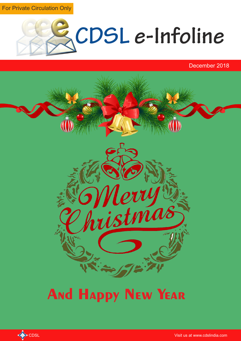For Private Circulation Only



December 2018



# **And Happy New Year**

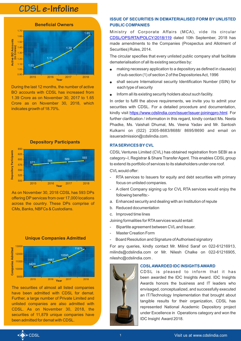# **CDSL e-Infoline**



During the last 12 months, the number of active BO accounts with CDSL has increased from 1.39 Crore as on November 30, 2017 to 1.65 Crore as on November 30, 2018, which indicates growth of 18.70%.





As on November 30, 2018 CDSL has 593 DPs offering DPservices from over 17,000 locations across the country. These DPs comprise of CMs, Banks, NBFCs & Custodians.





The securities of almost all listed companies have been admitted with CDSL for demat. Further, a large number of Private Limited and unlisted companies are also admitted with CDSL. As on November 30, 2018, the securities of 11,879 unique companies have been admitted for demat with CDSL.

## **ISSUE OF SECURITIES IN DEMATERIALISED FORM BY UNLISTED PUBLIC COMPANIES**

Ministry of Corporate Affairs (MCA), vide its circular [CDSL/OPS/RTA/POLCY/2018/119](https://www.cdslindia.com/publications/commprocedure.aspx?eventid=RTA2018-119) dated 10th September, 2018 has made amendments to the Companies (Prospectus and Allotment of Securities) Rules, 2014.

The circular specifies that every unlisted public company shall facilitate dematerialisation of all its existing securities by:

- making necessary application to a depository as defined in clause $(e)$ of sub-section (1) of section 2 of the Depositories Act, 1996
- shall secure International security Identification Number (ISIN) for each type of security
- $\bullet$  Inform all its existing security holders about such facility.

In order to fulfil the above requirements, we invite you to admit your securities with CDSL. For a detailed procedure and documentation, kindly visit https://www.cdslindia.com/issuer/issuer-joiningpro.html</u>. For further clarification / information in this regard, kindly contact Ms. Neeta Phadke, Ms. Vaishali Dhumal, Ms. Veena Yadav and Mr. Santosh Kulkarni on (022) 2305-8683/8688/ 8695/8690 and email on issueradmission@cdslindia.com.

#### **RTASERVICES BY CVL**

CDSL Ventures Limited (CVL) has obtained registration from SEBI as a category–I, Registrar & Share Transfer Agent. This enables CDSL group to extend its portfolio of services to its stakeholders under one roof. CVLwould offer:

- RTA services to Issuers for equity and debt securities with primary focus on unlisted companies.
- A client Company signing up for CVL RTA services would enjoy the following benefits:-
- a. Enhanced security and dealing with an Institution of repute
- b. Reduced documentation
- c. Improved time lines

Joining formalities for RTAservices would entail:

- Bipartite agreement between CVLand Issuer.
- Master Creation Form
- Board Resolution and Signature of Authorised signatory

For any queries, kindly contact Mr. Milind Saraf on 022-61216913, milinds@cdslindia.com or Mr. Nilesh Chalke on 022-61216905, nileshc@cdslindia.com .



### **CDSLAWARDED IDC INSIGHTS AWARD**

CDSL is pleased to inform that it has been awarded the IDC Insights Award. IDC Insights Awards honors the business and IT leaders who envisaged, conceptualized, and successfully executed an IT/Technology Implementation that brought about tangible results for their organization, CDSL has represented National Academic Depository project under Excellence in Operations category and won the IDC Insight Award 2018.